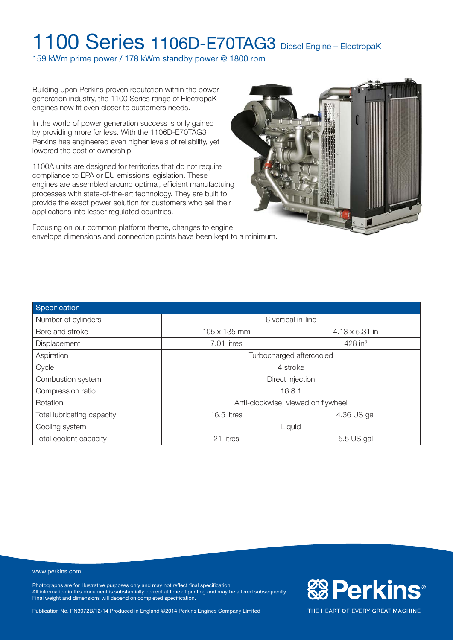159 kWm prime power / 178 kWm standby power @ 1800 rpm

Building upon Perkins proven reputation within the power generation industry, the 1100 Series range of ElectropaK engines now fit even closer to customers needs.

In the world of power generation success is only gained by providing more for less. With the 1106D-E70TAG3 Perkins has engineered even higher levels of reliability, yet lowered the cost of ownership.

1100A units are designed for territories that do not require compliance to EPA or EU emissions legislation. These engines are assembled around optimal, efficient manufactuing processes with state-of-the-art technology. They are built to provide the exact power solution for customers who sell their applications into lesser regulated countries.





| Specification              |                                    |                       |  |
|----------------------------|------------------------------------|-----------------------|--|
| Number of cylinders        | 6 vertical in-line                 |                       |  |
| Bore and stroke            | 105 x 135 mm                       | $4.13 \times 5.31$ in |  |
| Displacement               | 7.01 litres                        | $428$ in <sup>3</sup> |  |
| Aspiration                 | Turbocharged aftercooled           |                       |  |
| Cycle                      | 4 stroke                           |                       |  |
| Combustion system          | Direct injection                   |                       |  |
| Compression ratio          | 16.8:1                             |                       |  |
| Rotation                   | Anti-clockwise, viewed on flywheel |                       |  |
| Total lubricating capacity | 4.36 US gal<br>16.5 litres         |                       |  |
| Cooling system             | Liquid                             |                       |  |
| Total coolant capacity     | 21 litres<br>5.5 US gal            |                       |  |

#### www.perkins.com

Photographs are for illustrative purposes only and may not reflect final specification. All information in this document is substantially correct at time of printing and may be altered subsequently. Final weight and dimensions will depend on completed specification.

Publication No. PN3072B/12/14 Produced in England ©2014 Perkins Engines Company Limited

**& Perkins®**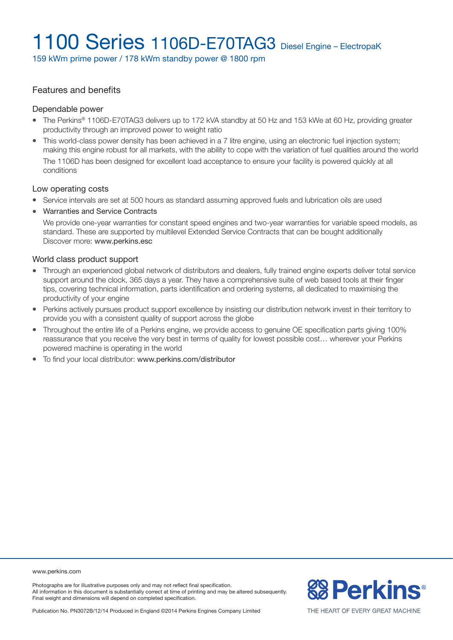159 kWm prime power / 178 kWm standby power @ 1800 rpm

#### Features and benefits

#### Dependable power

- The Perkins® 1106D-E70TAG3 delivers up to 172 kVA standby at 50 Hz and 153 kWe at 60 Hz, providing greater productivity through an improved power to weight ratio
- This world-class power density has been achieved in a 7 litre engine, using an electronic fuel injection system; making this engine robust for all markets, with the ability to cope with the variation of fuel qualities around the world The 1106D has been designed for excellent load acceptance to ensure your facility is powered quickly at all conditions

#### Low operating costs

- Service intervals are set at 500 hours as standard assuming approved fuels and lubrication oils are used
- Warranties and Service Contracts

We provide one-year warranties for constant speed engines and two-year warranties for variable speed models, as standard. These are supported by multilevel Extended Service Contracts that can be bought additionally Discover more: www.perkins.esc

#### World class product support

- Through an experienced global network of distributors and dealers, fully trained engine experts deliver total service support around the clock, 365 days a year. They have a comprehensive suite of web based tools at their finger tips, covering technical information, parts identification and ordering systems, all dedicated to maximising the productivity of your engine
- Perkins actively pursues product support excellence by insisting our distribution network invest in their territory to provide you with a consistent quality of support across the globe
- Throughout the entire life of a Perkins engine, we provide access to genuine OE specification parts giving 100% reassurance that you receive the very best in terms of quality for lowest possible cost… wherever your Perkins powered machine is operating in the world
- To find your local distributor: www.perkins.com/distributor

www.perkins.com

Photographs are for illustrative purposes only and may not reflect final specification. All information in this document is substantially correct at time of printing and may be altered subsequently. Final weight and dimensions will depend on completed specification.

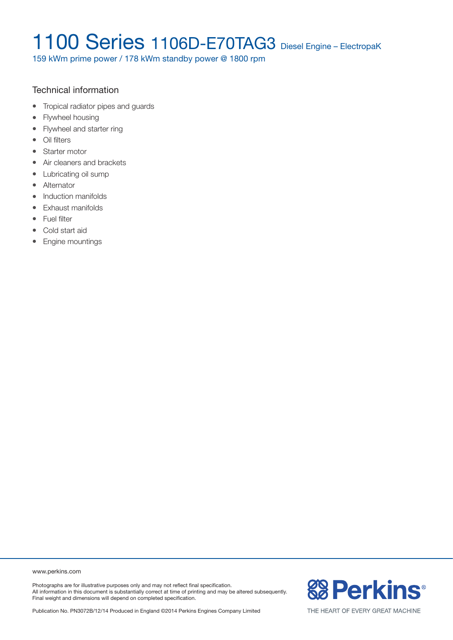159 kWm prime power / 178 kWm standby power @ 1800 rpm

### Technical information

- Tropical radiator pipes and guards
- Flywheel housing
- Flywheel and starter ring
- Oil filters
- Starter motor
- Air cleaners and brackets
- Lubricating oil sump
- Alternator
- Induction manifolds
- Exhaust manifolds
- Fuel filter
- Cold start aid
- Engine mountings

www.perkins.com

Photographs are for illustrative purposes only and may not reflect final specification. All information in this document is substantially correct at time of printing and may be altered subsequently. Final weight and dimensions will depend on completed specification.

Publication No. PN3072B/12/14 Produced in England ©2014 Perkins Engines Company Limited

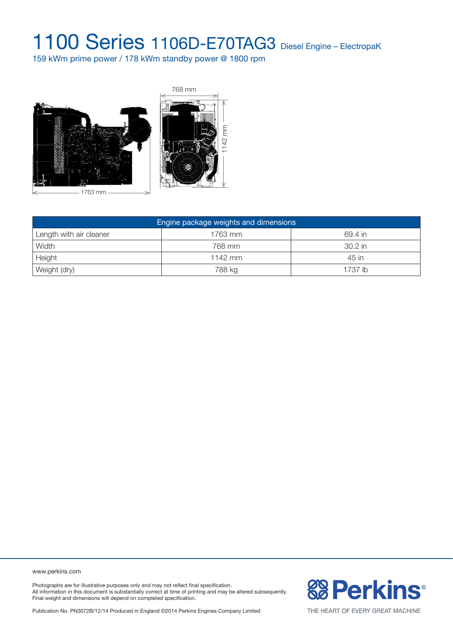159 kWm prime power / 178 kWm standby power @ 1800 rpm



| Engine package weights and dimensions |           |         |  |  |  |
|---------------------------------------|-----------|---------|--|--|--|
| Length with air cleaner               | 1763 mm   | 69.4 in |  |  |  |
| Width                                 | 768 mm    | 30.2 in |  |  |  |
| Height                                | $1142$ mm | 45 in   |  |  |  |
| Weight (dry)                          | 788 kg    | 1737 lb |  |  |  |

www.perkins.com

Photographs are for illustrative purposes only and may not reflect final specification. All information in this document is substantially correct at time of printing and may be altered subsequently. Final weight and dimensions will depend on completed specification.

**&B Perkins®**